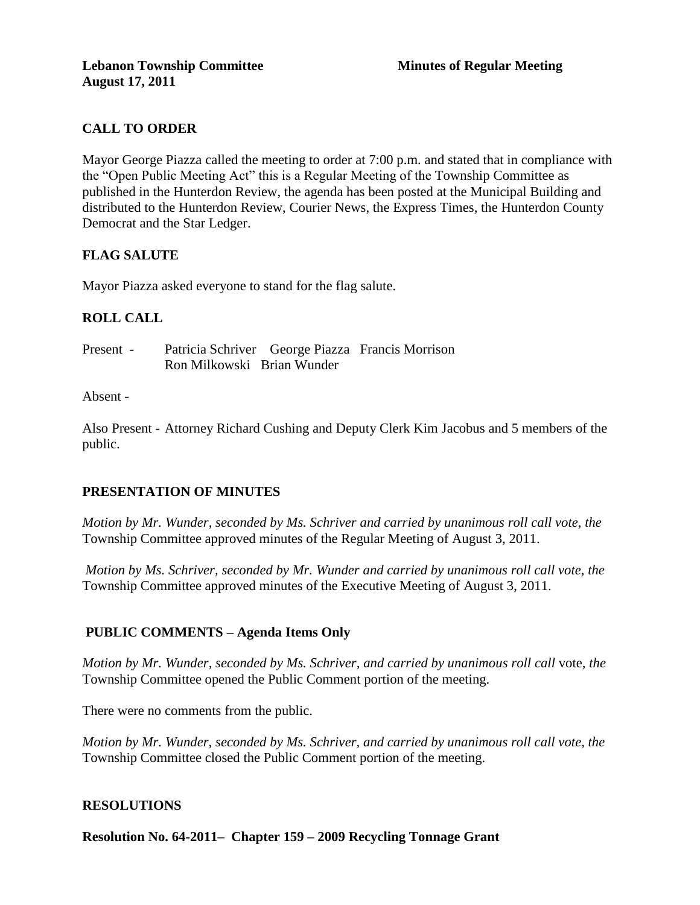# **CALL TO ORDER**

Mayor George Piazza called the meeting to order at 7:00 p.m. and stated that in compliance with the "Open Public Meeting Act" this is a Regular Meeting of the Township Committee as published in the Hunterdon Review, the agenda has been posted at the Municipal Building and distributed to the Hunterdon Review, Courier News, the Express Times, the Hunterdon County Democrat and the Star Ledger.

## **FLAG SALUTE**

Mayor Piazza asked everyone to stand for the flag salute.

## **ROLL CALL**

| Present - |                            | Patricia Schriver George Piazza Francis Morrison |
|-----------|----------------------------|--------------------------------------------------|
|           | Ron Milkowski Brian Wunder |                                                  |

#### Absent -

Also Present - Attorney Richard Cushing and Deputy Clerk Kim Jacobus and 5 members of the public.

#### **PRESENTATION OF MINUTES**

*Motion by Mr. Wunder, seconded by Ms. Schriver and carried by unanimous roll call vote, the* Township Committee approved minutes of the Regular Meeting of August 3, 2011.

*Motion by Ms. Schriver, seconded by Mr. Wunder and carried by unanimous roll call vote, the* Township Committee approved minutes of the Executive Meeting of August 3, 2011.

## **PUBLIC COMMENTS – Agenda Items Only**

*Motion by Mr. Wunder, seconded by Ms. Schriver, and carried by unanimous roll call* vote*, the*  Township Committee opened the Public Comment portion of the meeting.

There were no comments from the public.

*Motion by Mr. Wunder, seconded by Ms. Schriver, and carried by unanimous roll call vote, the* Township Committee closed the Public Comment portion of the meeting.

#### **RESOLUTIONS**

**Resolution No. 64-2011– Chapter 159 – 2009 Recycling Tonnage Grant**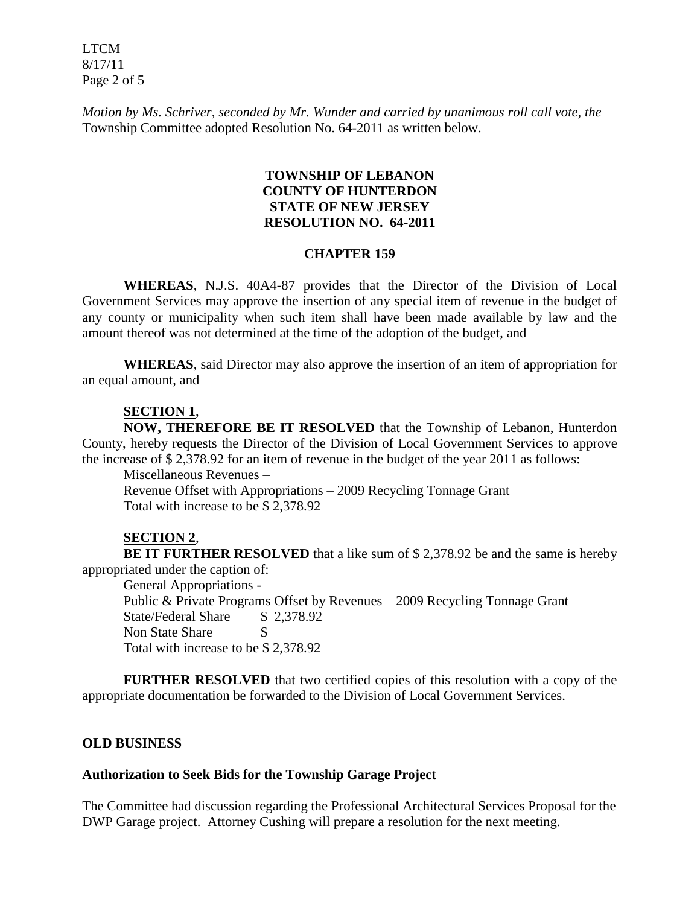LTCM 8/17/11 Page 2 of 5

*Motion by Ms. Schriver, seconded by Mr. Wunder and carried by unanimous roll call vote, the* Township Committee adopted Resolution No. 64-2011 as written below.

### **TOWNSHIP OF LEBANON COUNTY OF HUNTERDON STATE OF NEW JERSEY RESOLUTION NO. 64-2011**

#### **CHAPTER 159**

**WHEREAS**, N.J.S. 40A4-87 provides that the Director of the Division of Local Government Services may approve the insertion of any special item of revenue in the budget of any county or municipality when such item shall have been made available by law and the amount thereof was not determined at the time of the adoption of the budget, and

**WHEREAS**, said Director may also approve the insertion of an item of appropriation for an equal amount, and

#### **SECTION 1**,

**NOW, THEREFORE BE IT RESOLVED** that the Township of Lebanon, Hunterdon County, hereby requests the Director of the Division of Local Government Services to approve the increase of \$ 2,378.92 for an item of revenue in the budget of the year 2011 as follows:

Miscellaneous Revenues –

Revenue Offset with Appropriations – 2009 Recycling Tonnage Grant Total with increase to be \$ 2,378.92

#### **SECTION 2**,

**BE IT FURTHER RESOLVED** that a like sum of \$ 2,378.92 be and the same is hereby appropriated under the caption of:

General Appropriations -

Public & Private Programs Offset by Revenues – 2009 Recycling Tonnage Grant State/Federal Share \$ 2,378.92 Non State Share \$ Total with increase to be \$ 2,378.92

**FURTHER RESOLVED** that two certified copies of this resolution with a copy of the appropriate documentation be forwarded to the Division of Local Government Services.

#### **OLD BUSINESS**

#### **Authorization to Seek Bids for the Township Garage Project**

The Committee had discussion regarding the Professional Architectural Services Proposal for the DWP Garage project. Attorney Cushing will prepare a resolution for the next meeting.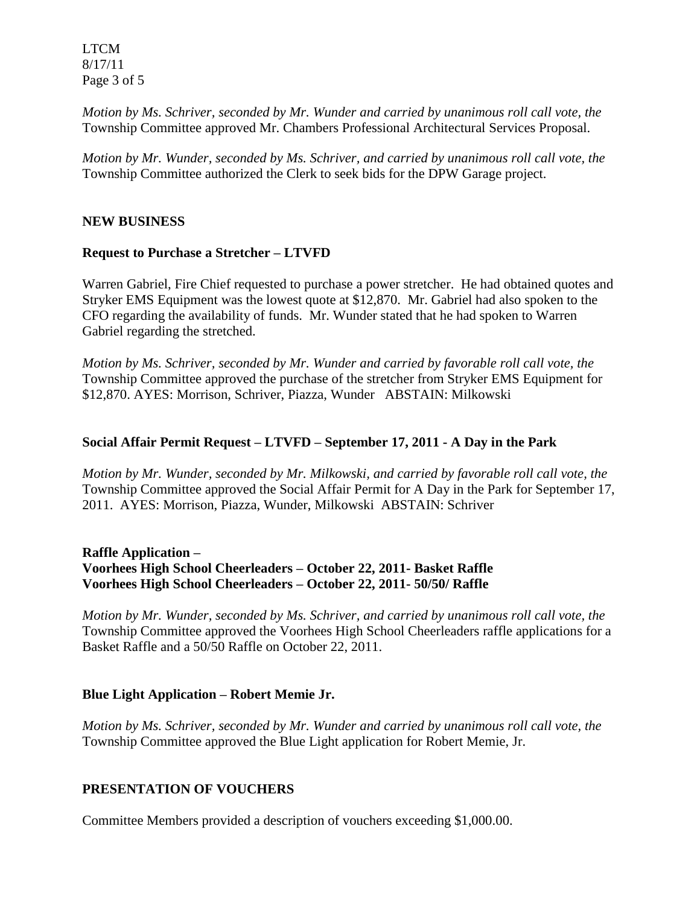LTCM 8/17/11 Page 3 of 5

*Motion by Ms. Schriver, seconded by Mr. Wunder and carried by unanimous roll call vote, the* Township Committee approved Mr. Chambers Professional Architectural Services Proposal.

*Motion by Mr. Wunder, seconded by Ms. Schriver, and carried by unanimous roll call vote, the* Township Committee authorized the Clerk to seek bids for the DPW Garage project.

#### **NEW BUSINESS**

#### **Request to Purchase a Stretcher – LTVFD**

Warren Gabriel, Fire Chief requested to purchase a power stretcher. He had obtained quotes and Stryker EMS Equipment was the lowest quote at \$12,870. Mr. Gabriel had also spoken to the CFO regarding the availability of funds. Mr. Wunder stated that he had spoken to Warren Gabriel regarding the stretched.

*Motion by Ms. Schriver, seconded by Mr. Wunder and carried by favorable roll call vote, the* Township Committee approved the purchase of the stretcher from Stryker EMS Equipment for \$12,870. AYES: Morrison, Schriver, Piazza, Wunder ABSTAIN: Milkowski

#### **Social Affair Permit Request – LTVFD – September 17, 2011 - A Day in the Park**

*Motion by Mr. Wunder, seconded by Mr. Milkowski, and carried by favorable roll call vote, the* Township Committee approved the Social Affair Permit for A Day in the Park for September 17, 2011. AYES: Morrison, Piazza, Wunder, Milkowski ABSTAIN: Schriver

### **Raffle Application – Voorhees High School Cheerleaders – October 22, 2011- Basket Raffle Voorhees High School Cheerleaders – October 22, 2011- 50/50/ Raffle**

*Motion by Mr. Wunder, seconded by Ms. Schriver, and carried by unanimous roll call vote, the* Township Committee approved the Voorhees High School Cheerleaders raffle applications for a Basket Raffle and a 50/50 Raffle on October 22, 2011.

#### **Blue Light Application – Robert Memie Jr.**

*Motion by Ms. Schriver, seconded by Mr. Wunder and carried by unanimous roll call vote, the* Township Committee approved the Blue Light application for Robert Memie, Jr.

#### **PRESENTATION OF VOUCHERS**

Committee Members provided a description of vouchers exceeding \$1,000.00.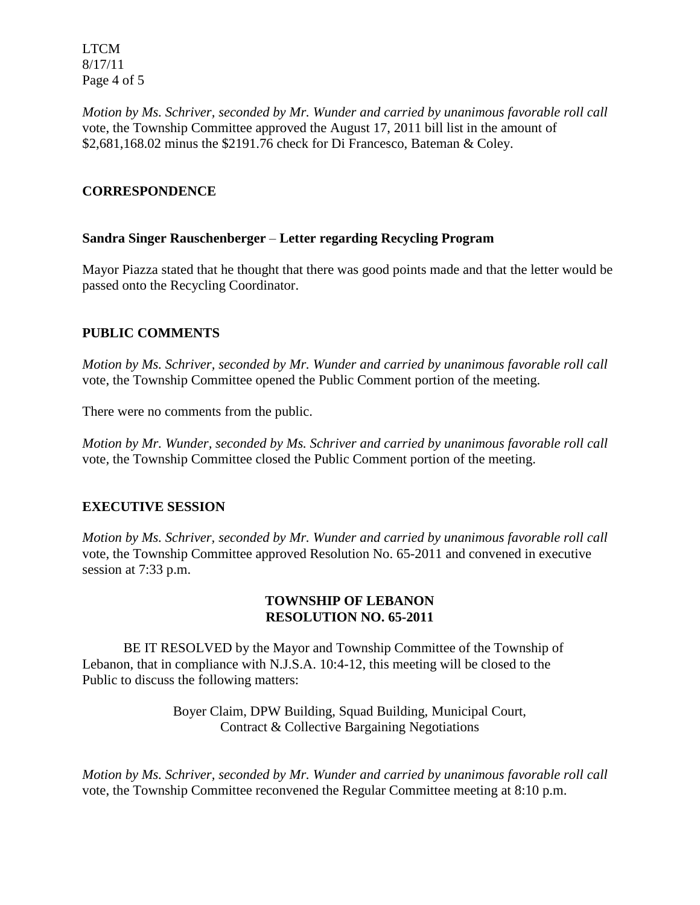LTCM 8/17/11 Page 4 of 5

*Motion by Ms. Schriver, seconded by Mr. Wunder and carried by unanimous favorable roll call* vote, the Township Committee approved the August 17, 2011 bill list in the amount of \$2,681,168.02 minus the \$2191.76 check for Di Francesco, Bateman & Coley.

## **CORRESPONDENCE**

## **Sandra Singer Rauschenberger** – **Letter regarding Recycling Program**

Mayor Piazza stated that he thought that there was good points made and that the letter would be passed onto the Recycling Coordinator.

# **PUBLIC COMMENTS**

*Motion by Ms. Schriver, seconded by Mr. Wunder and carried by unanimous favorable roll call*  vote, the Township Committee opened the Public Comment portion of the meeting.

There were no comments from the public.

*Motion by Mr. Wunder, seconded by Ms. Schriver and carried by unanimous favorable roll call*  vote*,* the Township Committee closed the Public Comment portion of the meeting.

# **EXECUTIVE SESSION**

*Motion by Ms. Schriver, seconded by Mr. Wunder and carried by unanimous favorable roll call*  vote, the Township Committee approved Resolution No. 65-2011 and convened in executive session at 7:33 p.m.

### **TOWNSHIP OF LEBANON RESOLUTION NO. 65-2011**

BE IT RESOLVED by the Mayor and Township Committee of the Township of Lebanon, that in compliance with N.J.S.A. 10:4-12, this meeting will be closed to the Public to discuss the following matters:

> Boyer Claim, DPW Building, Squad Building, Municipal Court, Contract & Collective Bargaining Negotiations

*Motion by Ms. Schriver, seconded by Mr. Wunder and carried by unanimous favorable roll call*  vote, the Township Committee reconvened the Regular Committee meeting at 8:10 p.m.